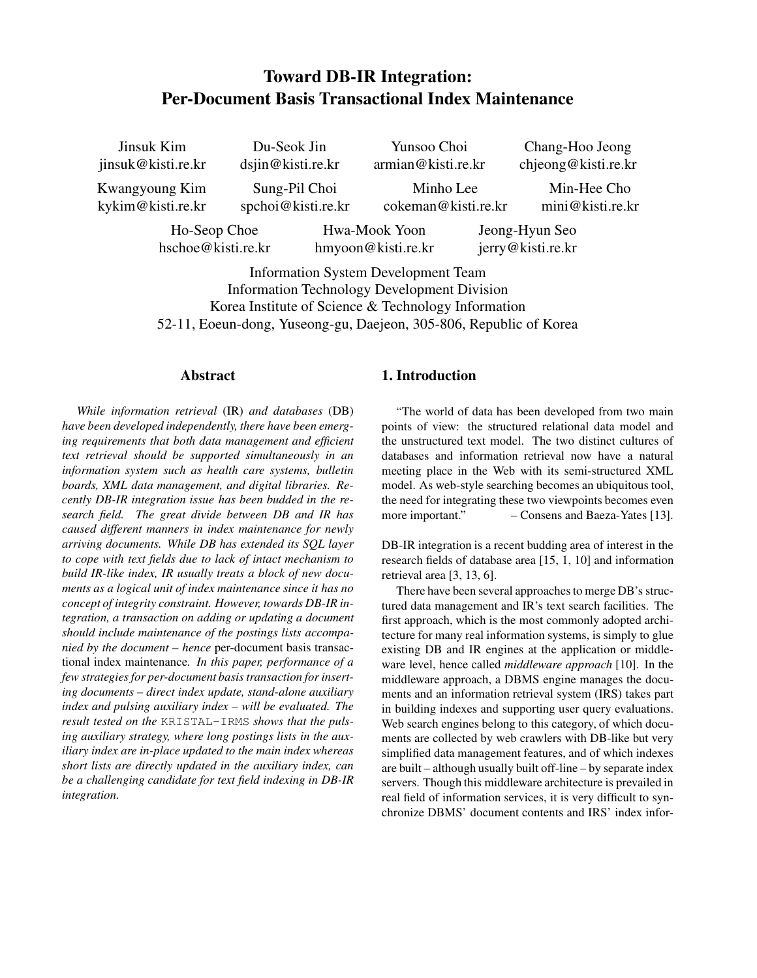# **Toward DB-IR Integration: Per-Document Basis Transactional Index Maintenance**

| Jinsuk Kim<br>jinsuk@kisti.re.kr    | Du-Seok Jin<br>dsjin@kisti.re.kr    |  | Yunsoo Choi<br>armian@kisti.re.kr   |  | Chang-Hoo Jeong<br>chjeong@kisti.re.kr |
|-------------------------------------|-------------------------------------|--|-------------------------------------|--|----------------------------------------|
| Kwangyoung Kim<br>kykim@kisti.re.kr | Sung-Pil Choi<br>spchoi@kisti.re.kr |  | Minho Lee<br>cokeman@kisti.re.kr    |  | Min-Hee Cho<br>mini@kisti.re.kr        |
| Ho-Seop Choe<br>hschoe@kisti.re.kr  |                                     |  | Hwa-Mook Yoon<br>hmyoon@kisti.re.kr |  | Jeong-Hyun Seo<br>jerry@kisti.re.kr    |

Information System Development Team Information Technology Development Division Korea Institute of Science & Technology Information 52-11, Eoeun-dong, Yuseong-gu, Daejeon, 305-806, Republic of Korea

## **Abstract**

*While information retrieval* (IR) *and databases* (DB) *have been developed independently, there have been emerging requirements that both data management and efficient text retrieval should be supported simultaneously in an information system such as health care systems, bulletin boards, XML data management, and digital libraries. Recently DB-IR integration issue has been budded in the research field. The great divide between DB and IR has caused different manners in index maintenance for newly arriving documents. While DB has extended its SQL layer to cope with text fields due to lack of intact mechanism to build IR-like index, IR usually treats a block of new documents as a logical unit of index maintenance since it has no concept of integrity constraint. However, towards DB-IR integration, a transaction on adding or updating a document should include maintenance of the postings lists accompanied by the document – hence* per-document basis transactional index maintenance*. In this paper, performance of a few strategies for per-document basis transaction for inserting documents – direct index update, stand-alone auxiliary index and pulsing auxiliary index – will be evaluated. The result tested on the* KRISTAL-IRMS *shows that the pulsing auxiliary strategy, where long postings lists in the auxiliary index are in-place updated to the main index whereas short lists are directly updated in the auxiliary index, can be a challenging candidate for text field indexing in DB-IR integration.*

# **1. Introduction**

"The world of data has been developed from two main points of view: the structured relational data model and the unstructured text model. The two distinct cultures of databases and information retrieval now have a natural meeting place in the Web with its semi-structured XML model. As web-style searching becomes an ubiquitous tool, the need for integrating these two viewpoints becomes even more important." – Consens and Baeza-Yates [13].

DB-IR integration is a recent budding area of interest in the research fields of database area [15, 1, 10] and information retrieval area [3, 13, 6].

There have been several approaches to merge DB's structured data management and IR's text search facilities. The first approach, which is the most commonly adopted architecture for many real information systems, is simply to glue existing DB and IR engines at the application or middleware level, hence called *middleware approach* [10]. In the middleware approach, a DBMS engine manages the documents and an information retrieval system (IRS) takes part in building indexes and supporting user query evaluations. Web search engines belong to this category, of which documents are collected by web crawlers with DB-like but very simplified data management features, and of which indexes are built – although usually built off-line – by separate index servers. Though this middleware architecture is prevailed in real field of information services, it is very difficult to synchronize DBMS' document contents and IRS' index infor-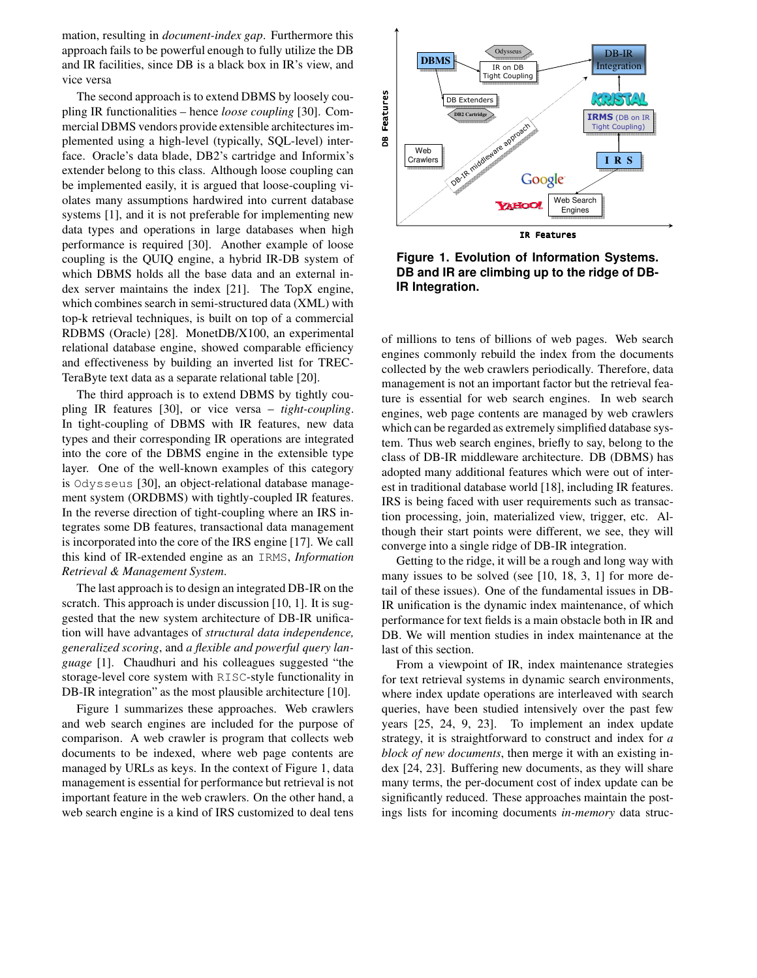mation, resulting in *document-index gap*. Furthermore this approach fails to be powerful enough to fully utilize the DB and IR facilities, since DB is a black box in IR's view, and vice versa

The second approach is to extend DBMS by loosely coupling IR functionalities – hence *loose coupling* [30]. Commercial DBMS vendors provide extensible architecturesimplemented using a high-level (typically, SQL-level) interface. Oracle's data blade, DB2's cartridge and Informix's extender belong to this class. Although loose coupling can be implemented easily, it is argued that loose-coupling violates many assumptions hardwired into current database systems [1], and it is not preferable for implementing new data types and operations in large databases when high performance is required [30]. Another example of loose coupling is the QUIQ engine, a hybrid IR-DB system of which DBMS holds all the base data and an external index server maintains the index [21]. The TopX engine, which combines search in semi-structured data (XML) with top-k retrieval techniques, is built on top of a commercial RDBMS (Oracle) [28]. MonetDB/X100, an experimental relational database engine, showed comparable efficiency and effectiveness by building an inverted list for TREC-TeraByte text data as a separate relational table [20].

The third approach is to extend DBMS by tightly coupling IR features [30], or vice versa – *tight-coupling*. In tight-coupling of DBMS with IR features, new data types and their corresponding IR operations are integrated into the core of the DBMS engine in the extensible type layer. One of the well-known examples of this category is Odysseus [30], an object-relational database management system (ORDBMS) with tightly-coupled IR features. In the reverse direction of tight-coupling where an IRS integrates some DB features, transactional data management is incorporated into the core of the IRS engine [17]. We call this kind of IR-extended engine as an IRMS, *Information Retrieval & Management System*.

The last approach is to design an integrated DB-IR on the scratch. This approach is under discussion [10, 1]. It is suggested that the new system architecture of DB-IR unification will have advantages of *structural data independence, generalized scoring*, and *a flexible and powerful query language* [1]. Chaudhuri and his colleagues suggested "the storage-level core system with RISC-style functionality in DB-IR integration" as the most plausible architecture [10].

Figure 1 summarizes these approaches. Web crawlers and web search engines are included for the purpose of comparison. A web crawler is program that collects web documents to be indexed, where web page contents are managed by URLs as keys. In the context of Figure 1, data management is essential for performance but retrieval is not important feature in the web crawlers. On the other hand, a web search engine is a kind of IRS customized to deal tens



**Figure 1. Evolution of Information Systems. DB and IR are climbing up to the ridge of DB-IR Integration.**

of millions to tens of billions of web pages. Web search engines commonly rebuild the index from the documents collected by the web crawlers periodically. Therefore, data management is not an important factor but the retrieval feature is essential for web search engines. In web search engines, web page contents are managed by web crawlers which can be regarded as extremely simplified database system. Thus web search engines, briefly to say, belong to the class of DB-IR middleware architecture. DB (DBMS) has adopted many additional features which were out of interest in traditional database world [18], including IR features. IRS is being faced with user requirements such as transaction processing, join, materialized view, trigger, etc. Although their start points were different, we see, they will converge into a single ridge of DB-IR integration.

Getting to the ridge, it will be a rough and long way with many issues to be solved (see [10, 18, 3, 1] for more detail of these issues). One of the fundamental issues in DB-IR unification is the dynamic index maintenance, of which performance for text fields is a main obstacle both in IR and DB. We will mention studies in index maintenance at the last of this section.

From a viewpoint of IR, index maintenance strategies for text retrieval systems in dynamic search environments, where index update operations are interleaved with search queries, have been studied intensively over the past few years [25, 24, 9, 23]. To implement an index update strategy, it is straightforward to construct and index for *a block of new documents*, then merge it with an existing index [24, 23]. Buffering new documents, as they will share many terms, the per-document cost of index update can be significantly reduced. These approaches maintain the postings lists for incoming documents *in-memory* data struc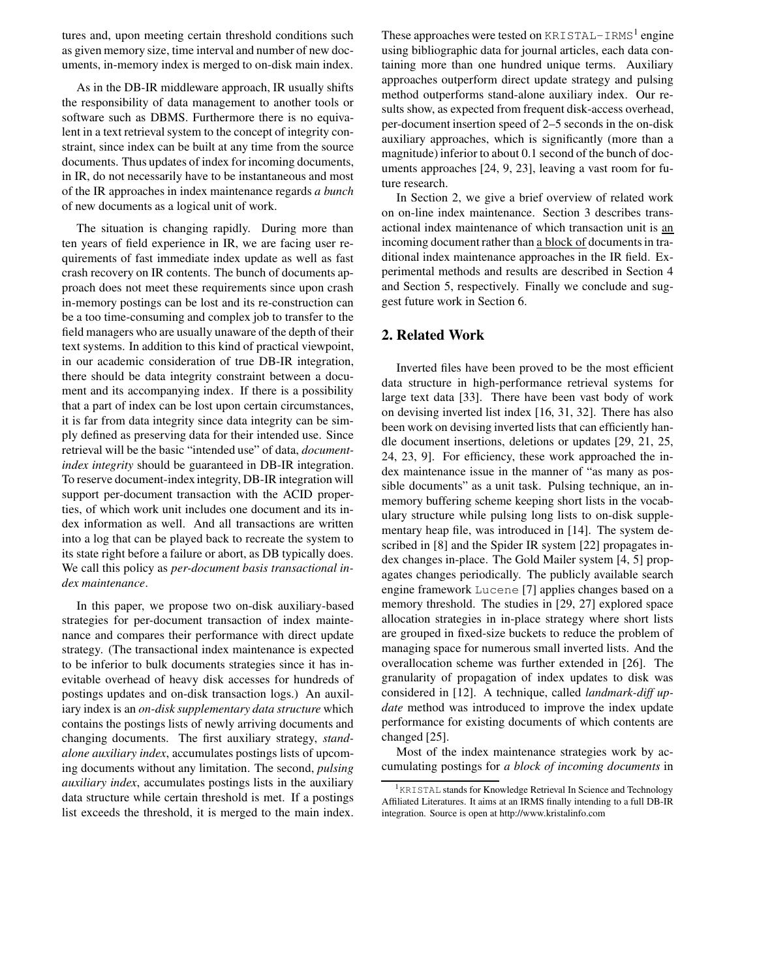tures and, upon meeting certain threshold conditions such as given memory size, time interval and number of new documents, in-memory index is merged to on-disk main index.

As in the DB-IR middleware approach, IR usually shifts the responsibility of data management to another tools or software such as DBMS. Furthermore there is no equivalent in a text retrieval system to the concept of integrity constraint, since index can be built at any time from the source documents. Thus updates of index for incoming documents, in IR, do not necessarily have to be instantaneous and most of the IR approaches in index maintenance regards *a bunch* of new documents as a logical unit of work.

The situation is changing rapidly. During more than ten years of field experience in IR, we are facing user requirements of fast immediate index update as well as fast crash recovery on IR contents. The bunch of documents approach does not meet these requirements since upon crash in-memory postings can be lost and its re-construction can be a too time-consuming and complex job to transfer to the field managers who are usually unaware of the depth of their text systems. In addition to this kind of practical viewpoint, in our academic consideration of true DB-IR integration, there should be data integrity constraint between a document and its accompanying index. If there is a possibility that a part of index can be lost upon certain circumstances, it is far from data integrity since data integrity can be simply defined as preserving data for their intended use. Since retrieval will be the basic "intended use" of data, *documentindex integrity* should be guaranteed in DB-IR integration. To reserve document-index integrity, DB-IR integration will support per-document transaction with the ACID properties, of which work unit includes one document and its index information as well. And all transactions are written into a log that can be played back to recreate the system to its state right before a failure or abort, as DB typically does. We call this policy as *per-document basis transactional index maintenance*.

In this paper, we propose two on-disk auxiliary-based strategies for per-document transaction of index maintenance and compares their performance with direct update strategy. (The transactional index maintenance is expected to be inferior to bulk documents strategies since it has inevitable overhead of heavy disk accesses for hundreds of postings updates and on-disk transaction logs.) An auxiliary index is an *on-disk supplementary data structure* which contains the postings lists of newly arriving documents and changing documents. The first auxiliary strategy, *standalone auxiliary index*, accumulates postings lists of upcoming documents without any limitation. The second, *pulsing auxiliary index*, accumulates postings lists in the auxiliary data structure while certain threshold is met. If a postings list exceeds the threshold, it is merged to the main index.

These approaches were tested on KRISTAL-IRMS<sup>1</sup> engine using bibliographic data for journal articles, each data containing more than one hundred unique terms. Auxiliary approaches outperform direct update strategy and pulsing method outperforms stand-alone auxiliary index. Our results show, as expected from frequent disk-access overhead, per-document insertion speed of 2–5 seconds in the on-disk auxiliary approaches, which is significantly (more than a magnitude) inferior to about 0.1 second of the bunch of documents approaches [24, 9, 23], leaving a vast room for future research.

In Section 2, we give a brief overview of related work on on-line index maintenance. Section 3 describes transactional index maintenance of which transaction unit is an incoming document rather than a block of documents in traditional index maintenance approaches in the IR field. Experimental methods and results are described in Section 4 and Section 5, respectively. Finally we conclude and suggest future work in Section 6.

## **2. Related Work**

Inverted files have been proved to be the most efficient data structure in high-performance retrieval systems for large text data [33]. There have been vast body of work on devising inverted list index [16, 31, 32]. There has also been work on devising inverted lists that can efficiently handle document insertions, deletions or updates [29, 21, 25, 24, 23, 9]. For efficiency, these work approached the index maintenance issue in the manner of "as many as possible documents" as a unit task. Pulsing technique, an inmemory buffering scheme keeping short lists in the vocabulary structure while pulsing long lists to on-disk supplementary heap file, was introduced in [14]. The system described in [8] and the Spider IR system [22] propagates index changes in-place. The Gold Mailer system [4, 5] propagates changes periodically. The publicly available search engine framework Lucene [7] applies changes based on a memory threshold. The studies in [29, 27] explored space allocation strategies in in-place strategy where short lists are grouped in fixed-size buckets to reduce the problem of managing space for numerous small inverted lists. And the overallocation scheme was further extended in [26]. The granularity of propagation of index updates to disk was considered in [12]. A technique, called *landmark-diff update* method was introduced to improve the index update performance for existing documents of which contents are changed [25].

Most of the index maintenance strategies work by accumulating postings for *a block of incoming documents* in

<sup>&</sup>lt;sup>1</sup> KRISTAL stands for Knowledge Retrieval In Science and Technology Affiliated Literatures. It aims at an IRMS finally intending to a full DB-IR integration. Source is open at http://www.kristalinfo.com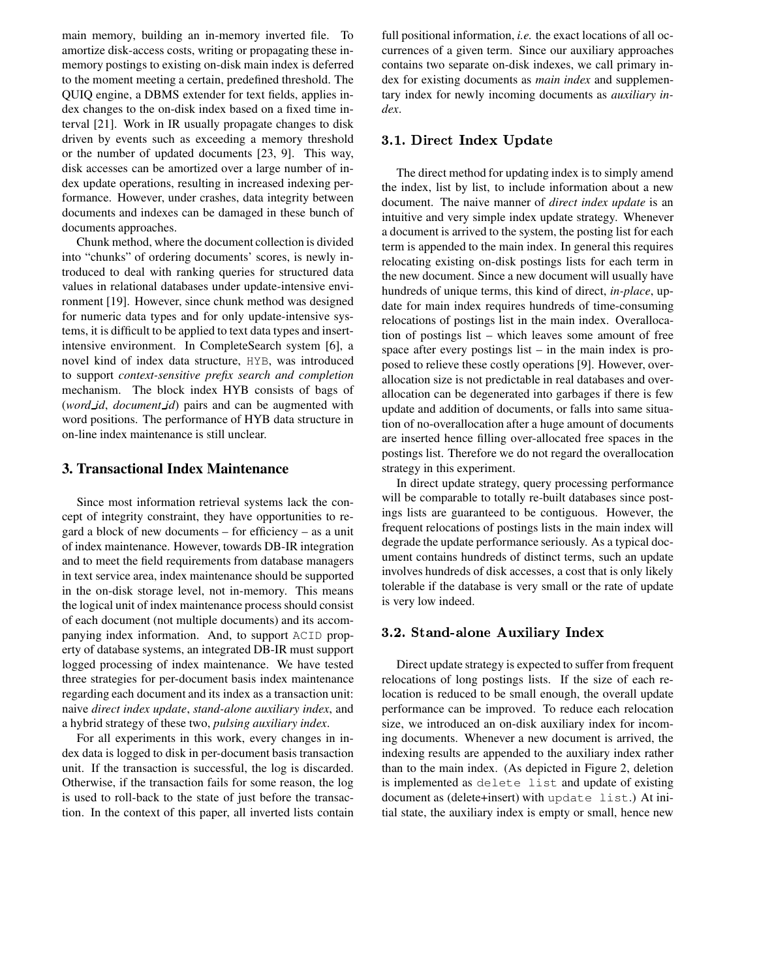main memory, building an in-memory inverted file. To amortize disk-access costs, writing or propagating these inmemory postings to existing on-disk main index is deferred to the moment meeting a certain, predefined threshold. The QUIQ engine, a DBMS extender for text fields, applies index changes to the on-disk index based on a fixed time interval [21]. Work in IR usually propagate changes to disk driven by events such as exceeding a memory threshold or the number of updated documents [23, 9]. This way, disk accesses can be amortized over a large number of index update operations, resulting in increased indexing performance. However, under crashes, data integrity between documents and indexes can be damaged in these bunch of documents approaches.

Chunk method, where the document collection is divided into "chunks" of ordering documents' scores, is newly introduced to deal with ranking queries for structured data values in relational databases under update-intensive environment [19]. However, since chunk method was designed for numeric data types and for only update-intensive systems, it is difficult to be applied to text data types and insertintensive environment. In CompleteSearch system [6], a novel kind of index data structure, HYB, was introduced to support *context-sensitive prefix search and completion* mechanism. The block index HYB consists of bags of (*word id*, *document id*) pairs and can be augmented with word positions. The performance of HYB data structure in on-line index maintenance is still unclear.

#### **3. Transactional Index Maintenance**

Since most information retrieval systems lack the concept of integrity constraint, they have opportunities to regard a block of new documents – for efficiency – as a unit of index maintenance. However, towards DB-IR integration and to meet the field requirements from database managers in text service area, index maintenance should be supported in the on-disk storage level, not in-memory. This means the logical unit of index maintenance process should consist of each document (not multiple documents) and its accompanying index information. And, to support ACID property of database systems, an integrated DB-IR must support logged processing of index maintenance. We have tested three strategies for per-document basis index maintenance regarding each document and its index as a transaction unit: naive *direct index update*, *stand-alone auxiliary index*, and a hybrid strategy of these two, *pulsing auxiliary index*.

For all experiments in this work, every changes in index data is logged to disk in per-document basis transaction unit. If the transaction is successful, the log is discarded. Otherwise, if the transaction fails for some reason, the log is used to roll-back to the state of just before the transaction. In the context of this paper, all inverted lists contain full positional information, *i.e.* the exact locations of all occurrences of a given term. Since our auxiliary approaches contains two separate on-disk indexes, we call primary index for existing documents as *main index* and supplementary index for newly incoming documents as *auxiliary index*.

#### -  !

The direct method for updating index is to simply amend the index, list by list, to include information about a new document. The naive manner of *direct index update* is an intuitive and very simple index update strategy. Whenever a document is arrived to the system, the posting list for each term is appended to the main index. In general this requires relocating existing on-disk postings lists for each term in the new document. Since a new document will usually have hundreds of unique terms, this kind of direct, *in-place*, update for main index requires hundreds of time-consuming relocations of postings list in the main index. Overallocation of postings list – which leaves some amount of free space after every postings list – in the main index is proposed to relieve these costly operations [9]. However, overallocation size is not predictable in real databases and overallocation can be degenerated into garbages if there is few update and addition of documents, or falls into same situation of no-overallocation after a huge amount of documents are inserted hence filling over-allocated free spaces in the postings list. Therefore we do not regard the overallocation strategy in this experiment.

In direct update strategy, query processing performance will be comparable to totally re-built databases since postings lists are guaranteed to be contiguous. However, the frequent relocations of postings lists in the main index will degrade the update performance seriously. As a typical document contains hundreds of distinct terms, such an update involves hundreds of disk accesses, a cost that is only likely tolerable if the database is very small or the rate of update is very low indeed.

#### -#"\$&%'()+\*,)-/.02143++-) (56+7

Direct update strategy is expected to suffer from frequent relocations of long postings lists. If the size of each relocation is reduced to be small enough, the overall update performance can be improved. To reduce each relocation size, we introduced an on-disk auxiliary index for incoming documents. Whenever a new document is arrived, the indexing results are appended to the auxiliary index rather than to the main index. (As depicted in Figure 2, deletion is implemented as delete list and update of existing document as (delete+insert) with update list.) At initial state, the auxiliary index is empty or small, hence new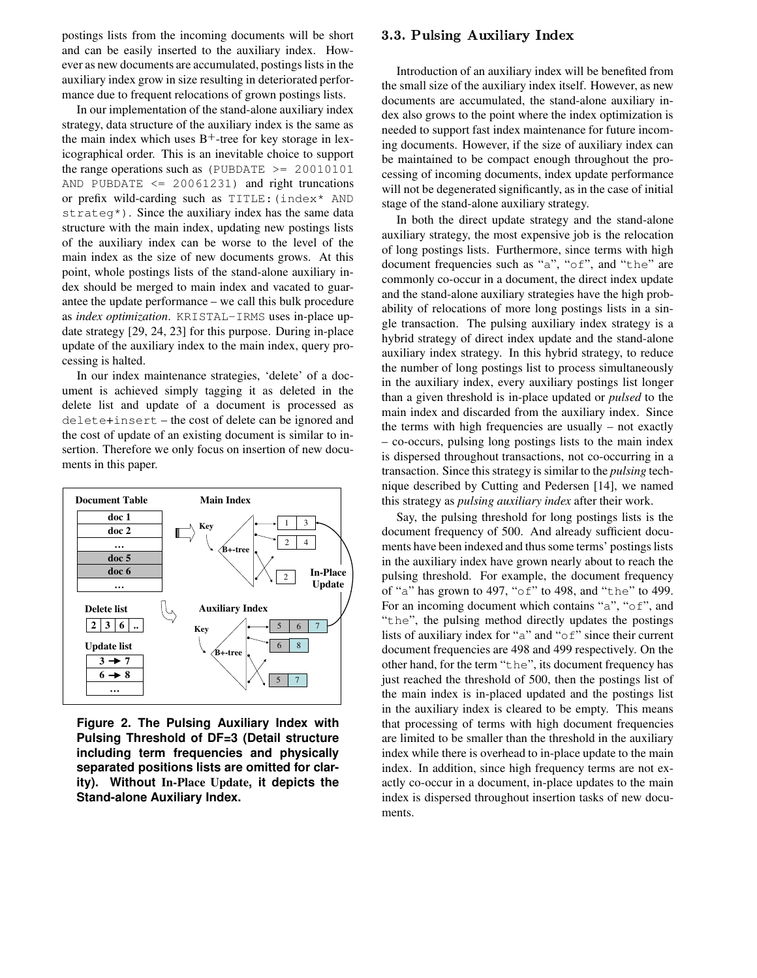postings lists from the incoming documents will be short and can be easily inserted to the auxiliary index. However as new documents are accumulated, postings lists in the auxiliary index grow in size resulting in deteriorated performance due to frequent relocations of grown postings lists.

In our implementation of the stand-alone auxiliary index strategy, data structure of the auxiliary index is the same as the main index which uses  $B^+$ -tree for key storage in lexicographical order. This is an inevitable choice to support the range operations such as  $(PUBDATE \gt = 20010101$ AND PUBDATE <= 20061231) and right truncations or prefix wild-carding such as TITLE:(index\* AND strateg\*). Since the auxiliary index has the same data structure with the main index, updating new postings lists of the auxiliary index can be worse to the level of the main index as the size of new documents grows. At this point, whole postings lists of the stand-alone auxiliary index should be merged to main index and vacated to guarantee the update performance – we call this bulk procedure as *index optimization*. KRISTAL-IRMS uses in-place update strategy [29, 24, 23] for this purpose. During in-place update of the auxiliary index to the main index, query processing is halted.

In our index maintenance strategies, 'delete' of a document is achieved simply tagging it as deleted in the delete list and update of a document is processed as delete+insert – the cost of delete can be ignored and the cost of update of an existing document is similar to insertion. Therefore we only focus on insertion of new documents in this paper.



**Figure 2. The Pulsing Auxiliary Index with Pulsing Threshold of DF=3 (Detail structure including term frequencies and physically separated positions lists are omitted for clarity). Without In-Place Update, it depicts the Stand-alone Auxiliary Index.**

#### -9-:;3-/<(=>143++-) (5?+7@

Introduction of an auxiliary index will be benefited from the small size of the auxiliary index itself. However, as new documents are accumulated, the stand-alone auxiliary index also grows to the point where the index optimization is needed to support fast index maintenance for future incoming documents. However, if the size of auxiliary index can be maintained to be compact enough throughout the processing of incoming documents, index update performance will not be degenerated significantly, as in the case of initial stage of the stand-alone auxiliary strategy.

In both the direct update strategy and the stand-alone auxiliary strategy, the most expensive job is the relocation of long postings lists. Furthermore, since terms with high document frequencies such as "a", "of", and "the" are commonly co-occur in a document, the direct index update and the stand-alone auxiliary strategies have the high probability of relocations of more long postings lists in a single transaction. The pulsing auxiliary index strategy is a hybrid strategy of direct index update and the stand-alone auxiliary index strategy. In this hybrid strategy, to reduce the number of long postings list to process simultaneously in the auxiliary index, every auxiliary postings list longer than a given threshold is in-place updated or *pulsed* to the main index and discarded from the auxiliary index. Since the terms with high frequencies are usually – not exactly – co-occurs, pulsing long postings lists to the main index is dispersed throughout transactions, not co-occurring in a transaction. Since this strategy is similar to the *pulsing* technique described by Cutting and Pedersen [14], we named this strategy as *pulsing auxiliary index* after their work.

Say, the pulsing threshold for long postings lists is the document frequency of 500. And already sufficient documents have been indexed and thus some terms' postings lists in the auxiliary index have grown nearly about to reach the pulsing threshold. For example, the document frequency of "a" has grown to 497, "of" to 498, and "the" to 499. For an incoming document which contains "a", "of", and "the", the pulsing method directly updates the postings lists of auxiliary index for "a" and "off" since their current document frequencies are 498 and 499 respectively. On the other hand, for the term "the", its document frequency has just reached the threshold of 500, then the postings list of the main index is in-placed updated and the postings list in the auxiliary index is cleared to be empty. This means that processing of terms with high document frequencies are limited to be smaller than the threshold in the auxiliary index while there is overhead to in-place update to the main index. In addition, since high frequency terms are not exactly co-occur in a document, in-place updates to the main index is dispersed throughout insertion tasks of new documents.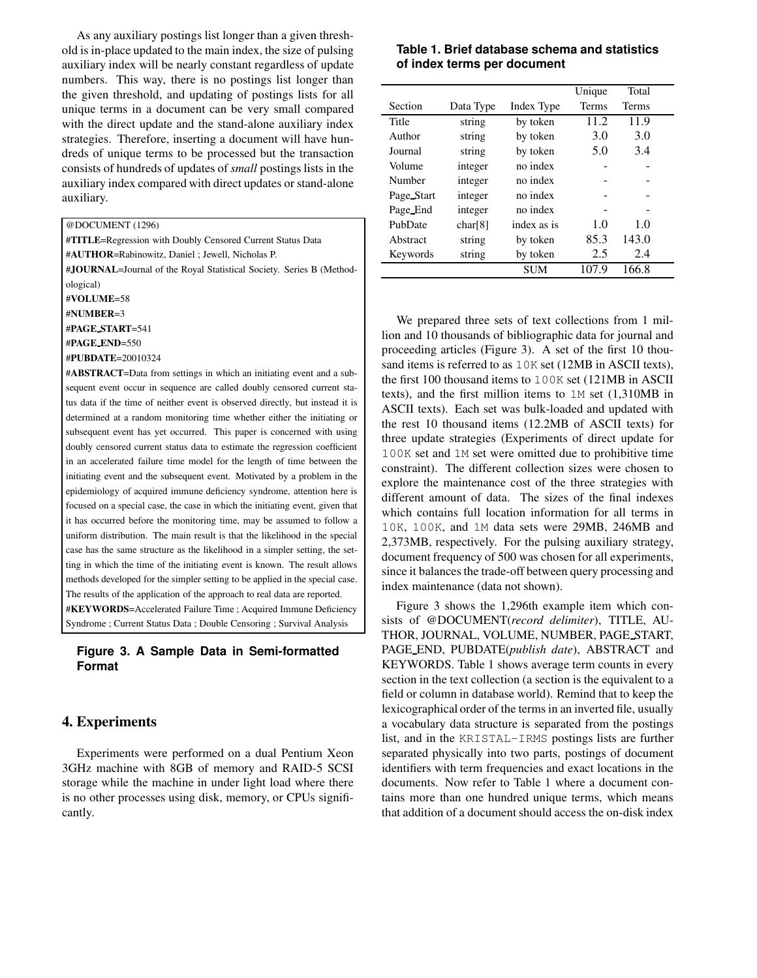As any auxiliary postings list longer than a given threshold is in-place updated to the main index, the size of pulsing auxiliary index will be nearly constant regardless of update numbers. This way, there is no postings list longer than the given threshold, and updating of postings lists for all unique terms in a document can be very small compared with the direct update and the stand-alone auxiliary index strategies. Therefore, inserting a document will have hundreds of unique terms to be processed but the transaction consists of hundreds of updates of *small* postings lists in the auxiliary index compared with direct updates or stand-alone auxiliary.

@DOCUMENT (1296)

#**TITLE**=Regression with Doubly Censored Current Status Data #**AUTHOR**=Rabinowitz, Daniel ; Jewell, Nicholas P. #**JOURNAL**=Journal of the Royal Statistical Society. Series B (Methodological) #**VOLUME**=58 #**NUMBER**=3 #**PAGE START**=541 #**PAGE END**=550 #**PUBDATE**=20010324

#**ABSTRACT**=Data from settings in which an initiating event and a subsequent event occur in sequence are called doubly censored current status data if the time of neither event is observed directly, but instead it is determined at a random monitoring time whether either the initiating or subsequent event has yet occurred. This paper is concerned with using doubly censored current status data to estimate the regression coefficient in an accelerated failure time model for the length of time between the initiating event and the subsequent event. Motivated by a problem in the epidemiology of acquired immune deficiency syndrome, attention here is focused on a special case, the case in which the initiating event, given that it has occurred before the monitoring time, may be assumed to follow a uniform distribution. The main result is that the likelihood in the special case has the same structure as the likelihood in a simpler setting, the setting in which the time of the initiating event is known. The result allows methods developed for the simpler setting to be applied in the special case. The results of the application of the approach to real data are reported. #**KEYWORDS**=Accelerated Failure Time ; Acquired Immune Deficiency Syndrome ; Current Status Data ; Double Censoring ; Survival Analysis

#### **Figure 3. A Sample Data in Semi-formatted Format**

#### **4. Experiments**

Experiments were performed on a dual Pentium Xeon 3GHz machine with 8GB of memory and RAID-5 SCSI storage while the machine in under light load where there is no other processes using disk, memory, or CPUs significantly.

#### **Table 1. Brief database schema and statistics of index terms per document**

|            |           |             | Unique       | Total |  |
|------------|-----------|-------------|--------------|-------|--|
| Section    | Data Type | Index Type  | <b>Terms</b> | Terms |  |
| Title      | string    | by token    | 11.2         | 11.9  |  |
| Author     | string    | by token    | 3.0          | 3.0   |  |
| Journal    | string    | by token    | 5.0          | 3.4   |  |
| Volume     | integer   | no index    |              |       |  |
| Number     | integer   | no index    |              |       |  |
| Page_Start | integer   | no index    |              |       |  |
| Page_End   | integer   | no index    |              |       |  |
| PubDate    | char[8]   | index as is | 1.0          | 1.0   |  |
| Abstract   | string    | by token    | 85.3         | 143.0 |  |
| Keywords   | string    | by token    | 2.5          | 2.4   |  |
|            |           | <b>SUM</b>  | 107.9        | 166.8 |  |

We prepared three sets of text collections from 1 million and 10 thousands of bibliographic data for journal and proceeding articles (Figure 3). A set of the first 10 thousand items is referred to as  $10K$  set (12MB in ASCII texts), the first 100 thousand items to 100K set (121MB in ASCII texts), and the first million items to 1M set (1,310MB in ASCII texts). Each set was bulk-loaded and updated with the rest 10 thousand items (12.2MB of ASCII texts) for three update strategies (Experiments of direct update for 100K set and 1M set were omitted due to prohibitive time constraint). The different collection sizes were chosen to explore the maintenance cost of the three strategies with different amount of data. The sizes of the final indexes which contains full location information for all terms in 10K, 100K, and 1M data sets were 29MB, 246MB and 2,373MB, respectively. For the pulsing auxiliary strategy, document frequency of 500 was chosen for all experiments, since it balances the trade-off between query processing and index maintenance (data not shown).

Figure 3 shows the 1,296th example item which consists of @DOCUMENT(*record delimiter*), TITLE, AU-THOR, JOURNAL, VOLUME, NUMBER, PAGE START, PAGE END, PUBDATE(*publish date*), ABSTRACT and KEYWORDS. Table 1 shows average term counts in every section in the text collection (a section is the equivalent to a field or column in database world). Remind that to keep the lexicographical order of the terms in an inverted file, usually a vocabulary data structure is separated from the postings list, and in the KRISTAL-IRMS postings lists are further separated physically into two parts, postings of document identifiers with term frequencies and exact locations in the documents. Now refer to Table 1 where a document contains more than one hundred unique terms, which means that addition of a document should access the on-disk index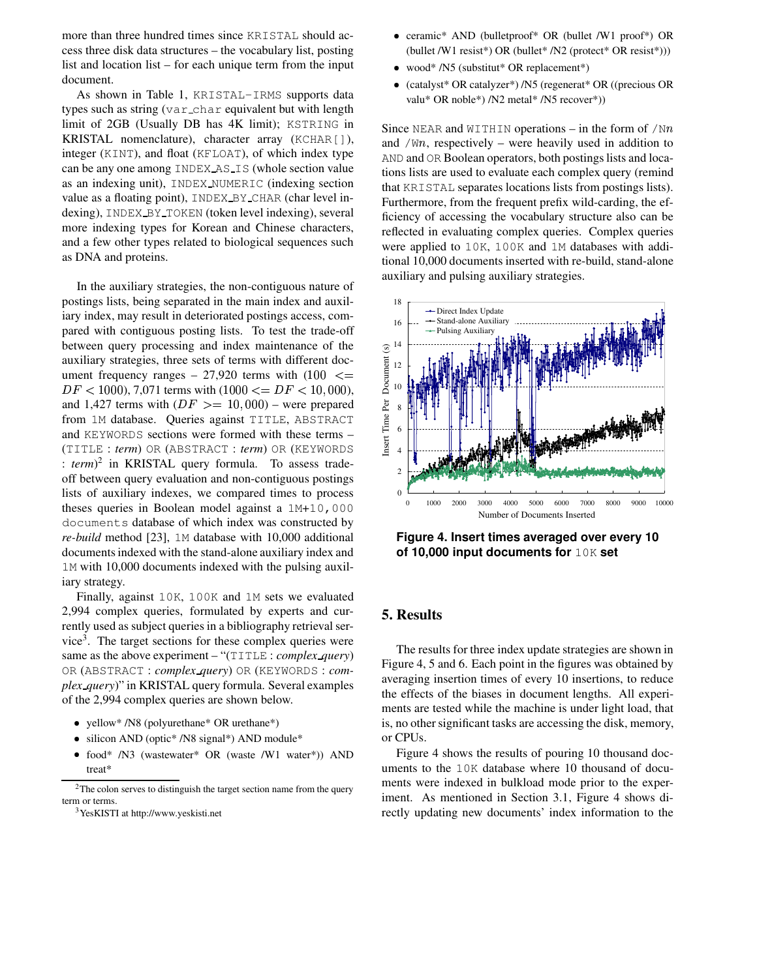more than three hundred times since KRISTAL should access three disk data structures – the vocabulary list, posting list and location list – for each unique term from the input document.

As shown in Table 1, KRISTAL-IRMS supports data types such as string  $(\forall a \, r \, \text{char} \, \text{equivalent} \, \text{but with length})$ limit of 2GB (Usually DB has 4K limit); KSTRING in KRISTAL nomenclature), character array (KCHAR[]), integer (KINT), and float (KFLOAT), of which index type can be any one among INDEX AS IS (whole section value as an indexing unit), INDEX NUMERIC (indexing section value as a floating point), INDEX BY CHAR (char level indexing), INDEX BY TOKEN (token level indexing), several more indexing types for Korean and Chinese characters, and a few other types related to biological sequences such as DNA and proteins.

In the auxiliary strategies, the non-contiguous nature of postings lists, being separated in the main index and auxiliary index, may result in deteriorated postings access, compared with contiguous posting lists. To test the trade-off between query processing and index maintenance of the auxiliary strategies, three sets of terms with different docbetween query processing and index maintenance of the<br>auxiliary strategies, three sets of terms with different doc-<br>ument frequency ranges – 27,920 terms with ( $100 \le$  =  $DF < 1000$ ), 7,071 terms with ( $1000 \le$  =  $DF < 10,000$  $DF < 1000$ , 7,071 terms with ( $1000 \leq D F < 10,000$ ), and 1,427 terms with  $(DF \geq 10,000)$  – were prepared from 1M database. Queries against TITLE, ABSTRACT and KEYWORDS sections were formed with these terms – (TITLE : *term*) OR (ABSTRACT : *term*) OR (KEYWORDS : *term*)<sup>2</sup> in KRISTAL query formula. To assess tradeoff between query evaluation and non-contiguous postings lists of auxiliary indexes, we compared times to process theses queries in Boolean model against a 1M+10,000 documents database of which index was constructed by *re-build* method [23], 1M database with 10,000 additional documentsindexed with the stand-alone auxiliary index and 1M with 10,000 documents indexed with the pulsing auxiliary strategy.

Finally, against 10K, 100K and 1M sets we evaluated 2,994 complex queries, formulated by experts and currently used as subject queries in a bibliography retrieval ser $vice<sup>3</sup>$ . The target sections for these complex queries were same as the above experiment – "(TITLE : *complex query*) OR (ABSTRACT : *complex query*) OR (KEYWORDS : *complex query*)" in KRISTAL query formula. Several examples of the 2,994 complex queries are shown below.

- yellow\* /N8 (polyurethane\* OR urethane\*)
- silicon AND (optic\* /N8 signal\*) AND module\*
- food\* /N3 (wastewater\* OR (waste /W1 water\*)) AND treat\*
- ceramic\* AND (bulletproof\* OR (bullet /W1 proof\*) OR (bullet /W1 resist\*) OR (bullet\* /N2 (protect\* OR resist\*)))
- wood\* /N5 (substitut\* OR replacement\*)
- (catalyst\* OR catalyzer\*) /N5 (regenerat\* OR ((precious OR valu\* OR noble\*) /N2 metal\* /N5 recover\*))

Since NEAR and WITHIN operations – in the form of  $/Nn$ and / $Wn$ , respectively – were heavily used in addition to AND and OR Boolean operators, both postings lists and locations lists are used to evaluate each complex query (remind that KRISTAL separates locations lists from postings lists). Furthermore, from the frequent prefix wild-carding, the efficiency of accessing the vocabulary structure also can be reflected in evaluating complex queries. Complex queries were applied to 10K, 100K and 1M databases with additional 10,000 documents inserted with re-build, stand-alone auxiliary and pulsing auxiliary strategies.



**Figure 4. Insert times averaged over every 10 of 10,000 input documents for** 10K **set**

### **5. Results**

The results for three index update strategies are shown in Figure 4, 5 and 6. Each point in the figures was obtained by averaging insertion times of every 10 insertions, to reduce the effects of the biases in document lengths. All experiments are tested while the machine is under light load, that is, no other significant tasks are accessing the disk, memory, or CPUs.

Figure 4 shows the results of pouring 10 thousand documents to the 10K database where 10 thousand of documents were indexed in bulkload mode prior to the experiment. As mentioned in Section 3.1, Figure 4 shows directly updating new documents' index information to the

 $2$ The colon serves to distinguish the target section name from the query term or terms.

<sup>3</sup>YesKISTI at http://www.yeskisti.net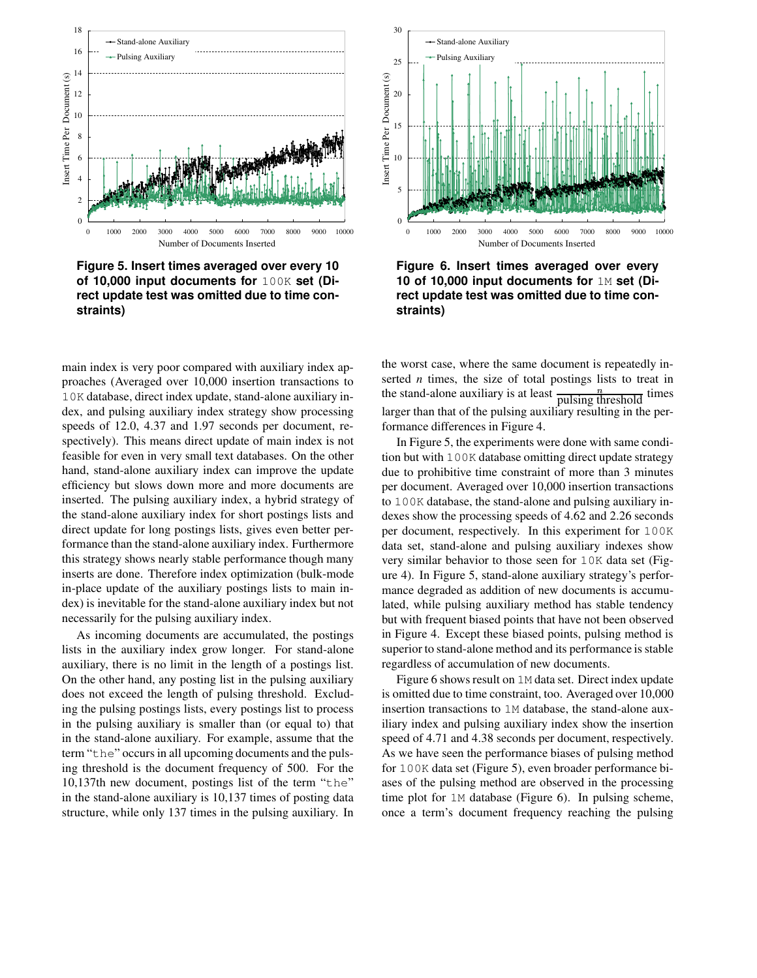

**Figure 5. Insert times averaged over every 10 of 10,000 input documents for** 100K **set (Direct update test was omitted due to time constraints)**

main index is very poor compared with auxiliary index approaches (Averaged over 10,000 insertion transactions to 10K database, direct index update, stand-alone auxiliary index, and pulsing auxiliary index strategy show processing speeds of 12.0, 4.37 and 1.97 seconds per document, respectively). This means direct update of main index is not feasible for even in very small text databases. On the other hand, stand-alone auxiliary index can improve the update efficiency but slows down more and more documents are inserted. The pulsing auxiliary index, a hybrid strategy of the stand-alone auxiliary index for short postings lists and direct update for long postings lists, gives even better performance than the stand-alone auxiliary index. Furthermore this strategy shows nearly stable performance though many inserts are done. Therefore index optimization (bulk-mode in-place update of the auxiliary postings lists to main index) is inevitable for the stand-alone auxiliary index but not necessarily for the pulsing auxiliary index.

As incoming documents are accumulated, the postings lists in the auxiliary index grow longer. For stand-alone auxiliary, there is no limit in the length of a postings list. On the other hand, any posting list in the pulsing auxiliary does not exceed the length of pulsing threshold. Excluding the pulsing postings lists, every postings list to process in the pulsing auxiliary is smaller than (or equal to) that in the stand-alone auxiliary. For example, assume that the term "the" occurs in all upcoming documents and the pulsing threshold is the document frequency of 500. For the 10,137th new document, postings list of the term "the" in the stand-alone auxiliary is 10,137 times of posting data structure, while only 137 times in the pulsing auxiliary. In



**Figure 6. Insert times averaged over every 10 of 10,000 input documents for** 1M **set (Direct update test was omitted due to time constraints)**

the worst case, where the same document is repeatedly inserted *n* times, the size of total postings lists to treat in the stand-alone auxiliary is at least  $\frac{n}{\text{pulsing threshold}}$  times pulsing threshold larger than that of the pulsing auxiliary resulting in the performance differences in Figure 4.

In Figure 5, the experiments were done with same condition but with 100K database omitting direct update strategy due to prohibitive time constraint of more than 3 minutes per document. Averaged over 10,000 insertion transactions to 100K database, the stand-alone and pulsing auxiliary indexes show the processing speeds of 4.62 and 2.26 seconds per document, respectively. In this experiment for 100K data set, stand-alone and pulsing auxiliary indexes show very similar behavior to those seen for 10K data set (Figure 4). In Figure 5, stand-alone auxiliary strategy's performance degraded as addition of new documents is accumulated, while pulsing auxiliary method has stable tendency but with frequent biased points that have not been observed in Figure 4. Except these biased points, pulsing method is superior to stand-alone method and its performance is stable regardless of accumulation of new documents.

Figure 6 shows result on 1M data set. Direct index update is omitted due to time constraint, too. Averaged over 10,000 insertion transactions to 1M database, the stand-alone auxiliary index and pulsing auxiliary index show the insertion speed of 4.71 and 4.38 seconds per document, respectively. As we have seen the performance biases of pulsing method for 100K data set (Figure 5), even broader performance biases of the pulsing method are observed in the processing time plot for 1M database (Figure 6). In pulsing scheme, once a term's document frequency reaching the pulsing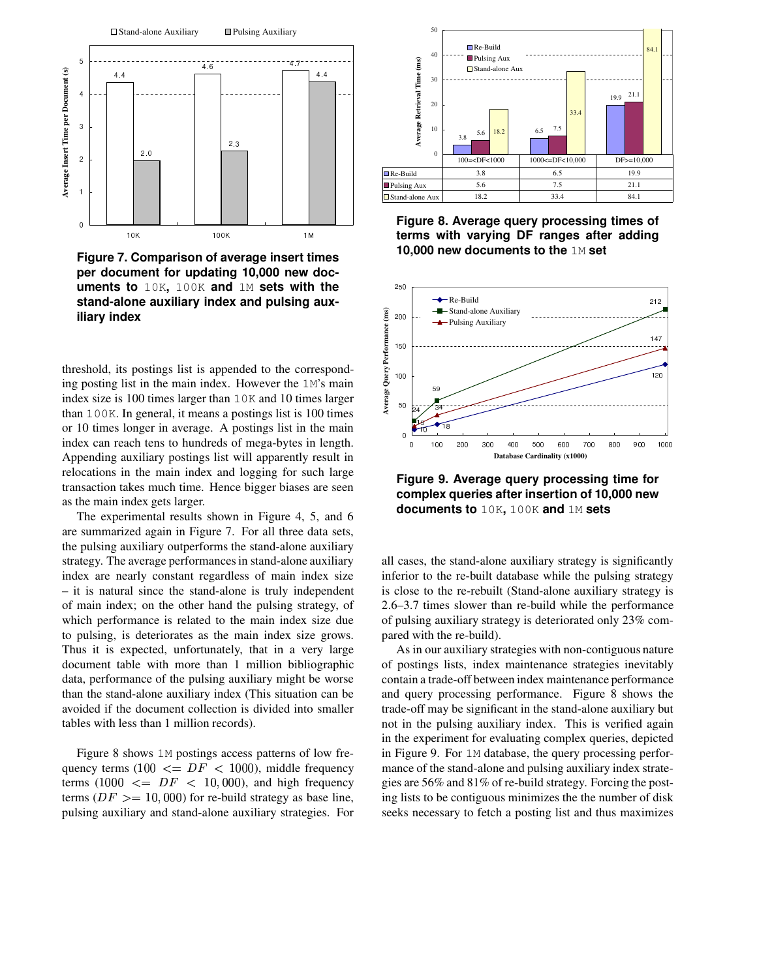

**Figure 7. Comparison of average insert times per document for updating 10,000 new documents to** 10K**,** 100K **and** 1M **sets with the stand-alone auxiliary index and pulsing auxiliary index**

threshold, its postings list is appended to the corresponding posting list in the main index. However the 1M's main index size is 100 times larger than 10K and 10 times larger than 100K. In general, it means a postings list is 100 times or 10 times longer in average. A postings list in the main index can reach tens to hundreds of mega-bytes in length. Appending auxiliary postings list will apparently result in relocations in the main index and logging for such large transaction takes much time. Hence bigger biases are seen as the main index gets larger.

The experimental results shown in Figure 4, 5, and 6 are summarized again in Figure 7. For all three data sets, the pulsing auxiliary outperforms the stand-alone auxiliary strategy. The average performances in stand-alone auxiliary index are nearly constant regardless of main index size – it is natural since the stand-alone is truly independent of main index; on the other hand the pulsing strategy, of which performance is related to the main index size due to pulsing, is deteriorates as the main index size grows. Thus it is expected, unfortunately, that in a very large document table with more than 1 million bibliographic data, performance of the pulsing auxiliary might be worse than the stand-alone auxiliary index (This situation can be avoided if the document collection is divided into smaller tables with less than 1 million records).

Figure 8 shows 1M postings access patterns of low frequency terms ( $100 \leq BF \leq 1000$ ), middle frequency terms  $(1000 \leq D \times B)$  =  $F \leq 10,000$ , and high frequency terms ( $DF > = 10,000$ ) for re-build strategy as base line, pulsing auxiliary and stand-alone auxiliary strategies. For



**Figure 8. Average query processing times of terms with varying DF ranges after adding 10,000 new documents to the** 1M **set**



**Figure 9. Average query processing time for complex queries after insertion of 10,000 new documents to** 10K**,** 100K **and** 1M **sets**

all cases, the stand-alone auxiliary strategy is significantly inferior to the re-built database while the pulsing strategy is close to the re-rebuilt (Stand-alone auxiliary strategy is 2.6–3.7 times slower than re-build while the performance of pulsing auxiliary strategy is deteriorated only 23% compared with the re-build).

As in our auxiliary strategies with non-contiguous nature of postings lists, index maintenance strategies inevitably contain a trade-off between index maintenance performance and query processing performance. Figure 8 shows the trade-off may be significant in the stand-alone auxiliary but not in the pulsing auxiliary index. This is verified again in the experiment for evaluating complex queries, depicted in Figure 9. For 1M database, the query processing performance of the stand-alone and pulsing auxiliary index strategies are 56% and 81% of re-build strategy. Forcing the posting lists to be contiguous minimizes the the number of disk seeks necessary to fetch a posting list and thus maximizes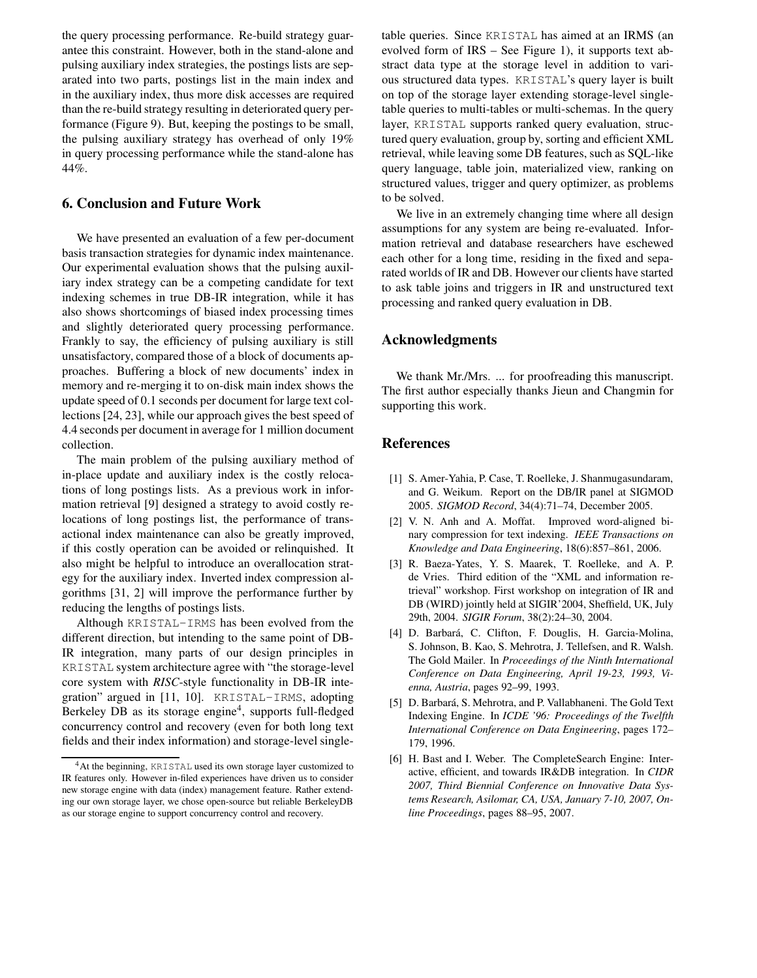the query processing performance. Re-build strategy guarantee this constraint. However, both in the stand-alone and pulsing auxiliary index strategies, the postings lists are separated into two parts, postings list in the main index and in the auxiliary index, thus more disk accesses are required than the re-build strategy resulting in deteriorated query performance (Figure 9). But, keeping the postings to be small, the pulsing auxiliary strategy has overhead of only 19% in query processing performance while the stand-alone has 44%.

# **6. Conclusion and Future Work**

We have presented an evaluation of a few per-document basis transaction strategies for dynamic index maintenance. Our experimental evaluation shows that the pulsing auxiliary index strategy can be a competing candidate for text indexing schemes in true DB-IR integration, while it has also shows shortcomings of biased index processing times and slightly deteriorated query processing performance. Frankly to say, the efficiency of pulsing auxiliary is still unsatisfactory, compared those of a block of documents approaches. Buffering a block of new documents' index in memory and re-merging it to on-disk main index shows the update speed of 0.1 seconds per document for large text collections [24, 23], while our approach gives the best speed of 4.4 seconds per document in average for 1 million document collection.

The main problem of the pulsing auxiliary method of in-place update and auxiliary index is the costly relocations of long postings lists. As a previous work in information retrieval [9] designed a strategy to avoid costly relocations of long postings list, the performance of transactional index maintenance can also be greatly improved, if this costly operation can be avoided or relinquished. It also might be helpful to introduce an overallocation strategy for the auxiliary index. Inverted index compression algorithms [31, 2] will improve the performance further by reducing the lengths of postings lists.

Although KRISTAL-IRMS has been evolved from the different direction, but intending to the same point of DB-IR integration, many parts of our design principles in KRISTAL system architecture agree with "the storage-level core system with *RISC*-style functionality in DB-IR integration" argued in [11, 10]. KRISTAL-IRMS, adopting Berkeley DB as its storage engine<sup>4</sup>, supports full-fledged concurrency control and recovery (even for both long text fields and their index information) and storage-level singletable queries. Since KRISTAL has aimed at an IRMS (an evolved form of IRS – See Figure 1), it supports text abstract data type at the storage level in addition to various structured data types. KRISTAL's query layer is built on top of the storage layer extending storage-level singletable queries to multi-tables or multi-schemas. In the query layer, KRISTAL supports ranked query evaluation, structured query evaluation, group by, sorting and efficient XML retrieval, while leaving some DB features, such as SQL-like query language, table join, materialized view, ranking on structured values, trigger and query optimizer, as problems to be solved.

We live in an extremely changing time where all design assumptions for any system are being re-evaluated. Information retrieval and database researchers have eschewed each other for a long time, residing in the fixed and separated worlds of IR and DB. However our clients have started to ask table joins and triggers in IR and unstructured text processing and ranked query evaluation in DB.

## **Acknowledgments**

We thank Mr./Mrs. ... for proofreading this manuscript. The first author especially thanks Jieun and Changmin for supporting this work.

#### **References**

- [1] S. Amer-Yahia, P. Case, T. Roelleke, J. Shanmugasundaram, and G. Weikum. Report on the DB/IR panel at SIGMOD 2005. *SIGMOD Record*, 34(4):71–74, December 2005.
- [2] V. N. Anh and A. Moffat. Improved word-aligned binary compression for text indexing. *IEEE Transactions on Knowledge and Data Engineering*, 18(6):857–861, 2006.
- [3] R. Baeza-Yates, Y. S. Maarek, T. Roelleke, and A. P. de Vries. Third edition of the "XML and information retrieval" workshop. First workshop on integration of IR and DB (WIRD) jointly held at SIGIR'2004, Sheffield, UK, July 29th, 2004. *SIGIR Forum*, 38(2):24–30, 2004.
- [4] D. Barbará, C. Clifton, F. Douglis, H. Garcia-Molina, S. Johnson, B. Kao, S. Mehrotra, J. Tellefsen, and R. Walsh. The Gold Mailer. In *Proceedings of the Ninth International Conference on Data Engineering, April 19-23, 1993, Vienna, Austria*, pages 92–99, 1993.
- [5] D. Barbará, S. Mehrotra, and P. Vallabhaneni. The Gold Text Indexing Engine. In *ICDE '96: Proceedings of the Twelfth International Conference on Data Engineering*, pages 172– 179, 1996.
- [6] H. Bast and I. Weber. The CompleteSearch Engine: Interactive, efficient, and towards IR&DB integration. In *CIDR 2007, Third Biennial Conference on Innovative Data Systems Research, Asilomar, CA, USA, January 7-10, 2007, Online Proceedings*, pages 88–95, 2007.

<sup>&</sup>lt;sup>4</sup>At the beginning, KRISTAL used its own storage layer customized to IR features only. However in-filed experiences have driven us to consider new storage engine with data (index) management feature. Rather extending our own storage layer, we chose open-source but reliable BerkeleyDB as our storage engine to support concurrency control and recovery.